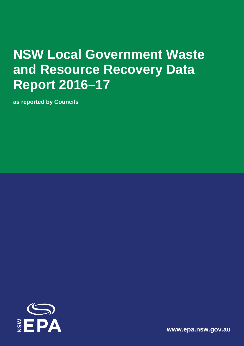# **NSW Local Government Waste and Resource Recovery Data Report 2016–17**

**as reported by Councils**



**[www.epa.nsw.gov.au](http://www.epa.nsw.gov.au/)**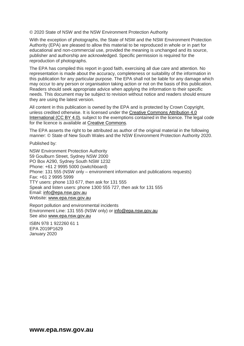© 2020 State of NSW and the NSW Environment Protection Authority

With the exception of photographs, the State of NSW and the NSW Environment Protection Authority (EPA) are pleased to allow this material to be reproduced in whole or in part for educational and non-commercial use, provided the meaning is unchanged and its source, publisher and authorship are acknowledged. Specific permission is required for the reproduction of photographs.

The EPA has compiled this report in good faith, exercising all due care and attention. No representation is made about the accuracy, completeness or suitability of the information in this publication for any particular purpose. The EPA shall not be liable for any damage which may occur to any person or organisation taking action or not on the basis of this publication. Readers should seek appropriate advice when applying the information to their specific needs. This document may be subject to revision without notice and readers should ensure they are using the latest version.

All content in this publication is owned by the EPA and is protected by Crown Copyright, unless credited otherwise. It is licensed under the [Creative Commons Attribution 4.0](http://creativecommons.org/licenses/by/4.0/deed.en)  [International \(CC BY 4.0\),](http://creativecommons.org/licenses/by/4.0/deed.en) subject to the exemptions contained in the licence. The legal code for the licence is available at [Creative Commons.](http://creativecommons.org/licenses/by/4.0/legalcode)

The EPA asserts the right to be attributed as author of the original material in the following manner: © State of New South Wales and the NSW Environment Protection Authority 2020.

Published by:

NSW Environment Protection Authority 59 Goulburn Street, Sydney NSW 2000 PO Box A290, Sydney South NSW 1232 Phone: +61 2 9995 5000 (switchboard) Phone: 131 555 (NSW only – environment information and publications requests) Fax: +61 2 9995 5999 TTY users: phone 133 677, then ask for 131 555 Speak and listen users: phone 1300 555 727, then ask for 131 555 Email: [info@epa.nsw.gov.au](mailto:info@epa.nsw.gov.au) Website: [www.epa.nsw.gov.au](http://www.epa.nsw.gov.au/)

Report pollution and environmental incidents Environment Line: 131 555 (NSW only) or [info@epa.nsw.gov.au](mailto:info@epa.nsw.gov.au) See also [www.epa.nsw.gov.au](http://www.epa.nsw.gov.au/) 

ISBN 978 1 922260 61 1 EPA 2019P1629 January 2020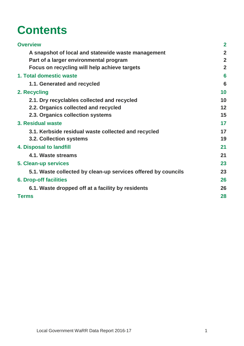# **Contents**

| <b>Overview</b>                                               | $\overline{2}$ |
|---------------------------------------------------------------|----------------|
| A snapshot of local and statewide waste management            | $\overline{2}$ |
| Part of a larger environmental program                        | $\overline{2}$ |
| Focus on recycling will help achieve targets                  | $\overline{2}$ |
| 1. Total domestic waste                                       | 6              |
| 1.1. Generated and recycled                                   | 6              |
| 2. Recycling                                                  | 10             |
| 2.1. Dry recyclables collected and recycled                   | 10             |
| 2.2. Organics collected and recycled                          | 12             |
| 2.3. Organics collection systems                              | 15             |
| 3. Residual waste                                             | 17             |
| 3.1. Kerbside residual waste collected and recycled           | 17             |
| 3.2. Collection systems                                       | 19             |
| 4. Disposal to landfill                                       | 21             |
| 4.1. Waste streams                                            | 21             |
| <b>5. Clean-up services</b>                                   | 23             |
| 5.1. Waste collected by clean-up services offered by councils | 23             |
| <b>6. Drop-off facilities</b>                                 | 26             |
| 6.1. Waste dropped off at a facility by residents             | 26             |
| <b>Terms</b>                                                  | 28             |
|                                                               |                |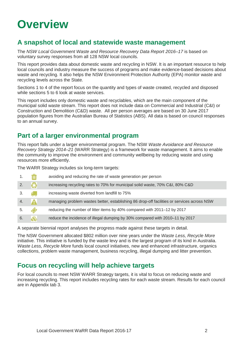# <span id="page-3-0"></span>**Overview**

# <span id="page-3-1"></span>**A snapshot of local and statewide waste management**

The *NSW Local Government Waste and Resource Recovery Data Report 2016–17* is based on voluntary survey responses from all 128 NSW local councils.

This report provides data about domestic waste and recycling in NSW. It is an important resource to help local councils and industry measure the success of programs and make evidence-based decisions about waste and recycling. It also helps the NSW Environment Protection Authority (EPA) monitor waste and recycling levels across the State.

Sections 1 to 4 of the report focus on the quantity and types of waste created, recycled and disposed while sections 5 to 6 look at waste services.

This report includes only domestic waste and recyclables, which are the main component of the municipal solid waste stream. This report does not include data on Commercial and Industrial (C&I) or Construction and Demolition (C&D) waste. All per person averages are based on 30 June 2017 population figures from the Australian Bureau of Statistics (ABS). All data is based on council responses to an annual survey.

# <span id="page-3-2"></span>**Part of a larger environmental program**

This report falls under a larger environmental program. The NSW *Waste Avoidance and Resource Recovery Strategy 2014–21* (WARR Strategy) is a framework for waste management. It aims to enable the community to improve the environment and community wellbeing by reducing waste and using resources more efficiently.

The WARR Strategy includes six long-term targets:

|     |              | avoiding and reducing the rate of waste generation per person                              |
|-----|--------------|--------------------------------------------------------------------------------------------|
| 2.7 | $\bullet$    | increasing recycling rates to 70% for municipal solid waste, 70% C&I, 80% C&D              |
| 3.  | 6.           | increasing waste diverted from landfill to 75%                                             |
| 4.  | <b>A</b>     | managing problem wastes better, establishing 86 drop-off facilities or services across NSW |
| 5.  | Ø            | reducing the number of litter items by 40% compared with 2011-12 by 2017                   |
| 6.  | $\mathbf{B}$ | reduce the incidence of illegal dumping by 30% compared with 2010–11 by 2017               |

A separate biennial report analyses the progress made against these targets in detail.

The NSW Government allocated \$802 million over nine years under the *Waste Less, Recycle More* initiative. This initiative is funded by the waste levy and is the largest program of its kind in Australia. *Waste Less, Recycle More* funds local council initiatives, new and enhanced infrastructure, organics collections, problem waste management, business recycling, illegal dumping and litter prevention.

## <span id="page-3-3"></span>**Focus on recycling will help achieve targets**

For local councils to meet NSW WARR Strategy targets, it is vital to focus on reducing waste and increasing recycling. This report includes recycling rates for each waste stream. Results for each council are in Appendix tab 3.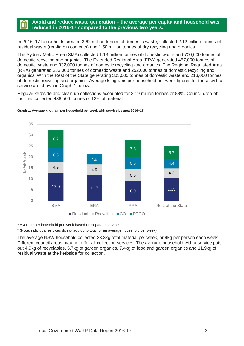### **Avoid and reduce waste generation – the average per capita and household was reduced in 2016-17 compared to the previous two years.**

In 2016–17 households created 3.62 million tonnes of domestic waste, collected 2.12 million tonnes of residual waste (red-lid bin contents) and 1.50 million tonnes of dry recycling and organics.

The Sydney Metro Area (SMA) collected 1.13 million tonnes of domestic waste and 700,000 tonnes of domestic recycling and organics. The Extended Regional Area (ERA) generated 457,000 tonnes of domestic waste and 332,000 tonnes of domestic recycling and organics. The Regional Regulated Area (RRA) generated 233,000 tonnes of domestic waste and 252,000 tonnes of domestic recycling and organics. With the Rest of the State generating 303,000 tonnes of domestic waste and 213,000 tonnes of domestic recycling and organics. Average kilograms per household per week figures for those with a service are shown in Graph 1 below.

Regular kerbside and clean-up collections accounted for 3.19 million tonnes or 88%. Council drop-off facilities collected 438,500 tonnes or 12% of material.



#### **Graph 1: Average kilogram per household per week with service by area 2016–17**

\* Average per household per week based on separate services.

\* (Note: individual services do not add up to total for an average household per week)

The average NSW household collected 23.3kg total material per week, or 9kg per person each week. Different council areas may not offer all collection services. The average household with a service puts out 4.9kg of recyclables, 5.7kg of garden organics, 7.4kg of food and garden organics and 11.9kg of residual waste at the kerbside for collection.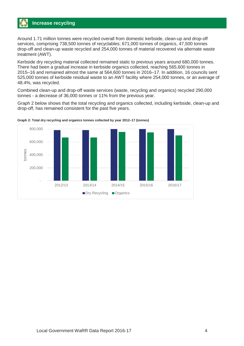Around 1.71 million tonnes were recycled overall from domestic kerbside, clean-up and drop-off services, comprising 738,500 tonnes of recyclables; 671,000 tonnes of organics, 47,500 tonnes drop-off and clean-up waste recycled and 254,000 tonnes of material recovered via alternate waste treatment (AWT).

Kerbside dry recycling material collected remained static to previous years around 680,000 tonnes. There had been a gradual increase in kerbside organics collected, reaching 565,600 tonnes in 2015–16 and remained almost the same at 564,600 tonnes in 2016–17. In addition, 16 councils sent 525,000 tonnes of kerbside residual waste to an AWT facility where 254,000 tonnes, or an average of 48.4%, was recycled.

Combined clean-up and drop-off waste services (waste, recycling and organics) recycled 290,000 tonnes - a decrease of 36,000 tonnes or 11% from the previous year.

Graph 2 below shows that the total recycling and organics collected, including kerbside, clean-up and drop-off, has remained consistent for the past five years.



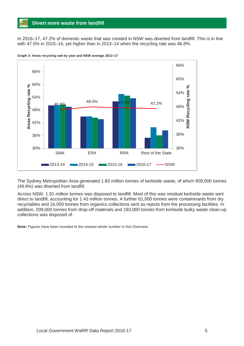## **Divert more waste from landfill**

In 2016–17, 47.2% of domestic waste that was created in NSW was diverted from landfill. This is in line with 47.5% in 2015–16, yet higher than in 2013–14 when the recycling rate was 46.8%.



**Graph 3: Areas recycling rate by year and NSW average 2013–17**

The Sydney Metropolitan Area generated 1.83 million tonnes of kerbside waste, of which 909,000 tonnes (49.6%) was diverted from landfill.

Across NSW, 1.91 million tonnes was disposed to landfill. Most of this was residual kerbside waste sent direct to landfill, accounting for 1.43 million tonnes. A further 61,000 tonnes were contaminants from dry recyclables and 16,000 tonnes from organics collections sent as rejects from the processing facilities. In addition, 209,000 tonnes from drop-off materials and 193,000 tonnes from kerbside bulky waste clean-up collections was disposed of.

**Note:** Figures have been rounded to the nearest whole number in this Overview.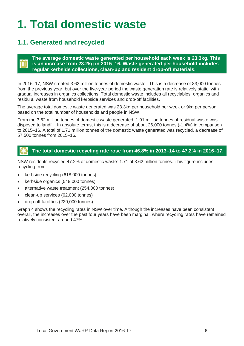# <span id="page-7-0"></span>**1. Total domestic waste**

# <span id="page-7-1"></span>**1.1. Generated and recycled**

## **The average domestic waste generated per household each week is 23.3kg. This is an increase from 23.2kg in 2015–16. Waste generated per household includes regular kerbside collections, clean-up and resident drop-off materials.**

In 2016–17, NSW created 3.62 million tonnes of domestic waste. This is a decrease of 83,000 tonnes from the previous year, but over the five-year period the waste generation rate is relatively static, with gradual increases in organics collections. Total domestic waste includes all recyclables, organics and residu al waste from household kerbside services and drop-off facilities.

The average total domestic waste generated was 23.3kg per household per week or 9kg per person, based on the total number of households and people in NSW.

From the 3.62 million tonnes of domestic waste generated, 1.91 million tonnes of residual waste was disposed to landfill. In absolute terms, this is a decrease of about 26,000 tonnes (-1.4%) in comparison to 2015–16. A total of 1.71 million tonnes of the domestic waste generated was recycled, a decrease of 57,500 tonnes from 2015–16.

## **The total domestic recycling rate rose from 46.8% in 2013**–**14 to 47.2% in 2016**–**17.**

NSW residents recycled 47.2% of domestic waste: 1.71 of 3.62 million tonnes. This figure includes recycling from:

- kerbside recycling (618,000 tonnes)
- kerbside organics (548,000 tonnes)
- alternative waste treatment (254,000 tonnes)
- clean-up services (62,000 tonnes)
- drop-off facilities (229,000 tonnes).

Graph 4 shows the recycling rates in NSW over time. Although the increases have been consistent overall, the increases over the past four years have been marginal, where recycling rates have remained relatively consistent around 47%.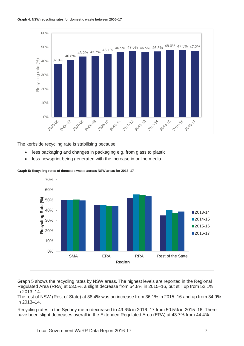

The kerbside recycling rate is stabilising because:

- less packaging and changes in packaging e.g. from glass to plastic
- less newsprint being generated with the increase in online media.



**Graph 5: Recycling rates of domestic waste across NSW areas for 2013–17**

Graph 5 shows the recycling rates by NSW areas. The highest levels are reported in the Regional Regulated Area (RRA) at 53.5%, a slight decrease from 54.8% in 2015–16, but still up from 52.1% in 2013–14.

The rest of NSW (Rest of State) at 38.4% was an increase from 36.1% in 2015–16 and up from 34.9% in 2013–14.

Recycling rates in the Sydney metro decreased to 49.6% in 2016–17 from 50.5% in 2015–16. There have been slight decreases overall in the Extended Regulated Area (ERA) at 43.7% from 44.4%.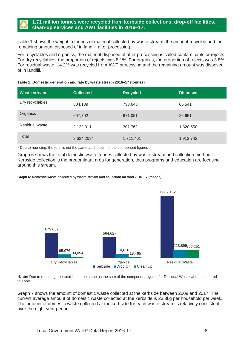Table 1 shows the weight in tonnes of material collected by waste stream, the amount recycled and the remaining amount disposed of in landfill after processing.

For recyclables and organics, the material disposed of after processing is called contaminants or rejects. For dry recyclables, the proportion of rejects was 8.1%. For organics, the proportion of rejects was 3.8%. For residual waste, 14.2% was recycled from AWT processing and the remaining amount was disposed of in landfill.

### **Table 1: Domestic generation and fate by waste stream 2016–17 (tonnes)**

| Waste stream    | <b>Collected</b> | <b>Recycled</b> | <b>Disposed</b> |
|-----------------|------------------|-----------------|-----------------|
| Dry recyclables | 804,189          | 738,648         | 65,541          |
| Organics        | 697,702          | 671,051         | 26,651          |
| Residual waste  | 2,122,311        | 301,762         | 1,820,550       |
| Total           | 3,624,203*       | 1,711,461       | 1,912,742       |

\* Due to rounding, the total is not the same as the sum of the component figures

Graph 6 shows the total domestic waste tonnes collected by waste stream and collection method. Kerbside collection is the predominant area for generation, thus programs and education are focusing around this stream.

### **Graph 6: Domestic waste collected by waste stream and collection method 2016–17 (tonnes)**



\***Note:** Due to rounding, the total is not the same as the sum of the component figures for Residual Waste when compared to Table 1

Graph 7 shows the amount of domestic waste collected at the kerbside between 2009 and 2017. The current average amount of domestic waste collected at the kerbside is 23.3kg per household per week. The amount of domestic waste collected at the kerbside for each waste stream is relatively consistent over the eight year period.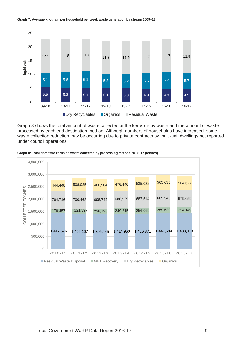#### **Graph 7: Average kilogram per household per week waste generation by stream 2009–17**



Graph 8 shows the total amount of waste collected at the kerbside by waste and the amount of waste processed by each end destination method. Although numbers of households have increased, some waste collection reduction may be occurring due to private contracts by multi-unit dwellings not reported under council operations.



**Graph 8: Total domestic kerbside waste collected by processing method 2010–17 (tonnes)**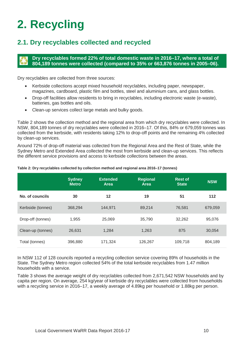# <span id="page-11-0"></span>**2. Recycling**

# <span id="page-11-1"></span>**2.1. Dry recyclables collected and recycled**

## **Dry recyclables formed 22% of total domestic waste in 2016–17, where a total of 804,189 tonnes were collected (compared to 35% or 663,876 tonnes in 2005–06).**

Dry recyclables are collected from three sources:

- Kerbside collections accept mixed household recyclables, including paper, newspaper, magazines, cardboard, plastic film and bottles, steel and aluminium cans, and glass bottles.
- Drop-off facilities allow residents to bring in recyclables, including electronic waste (e-waste), batteries, gas bottles and oils.
- Clean-up services collect large metals and bulky goods.

Table 2 shows the collection method and the regional area from which dry recyclables were collected. In NSW, 804,189 tonnes of dry recyclables were collected in 2016–17. Of this, 84% or 679,059 tonnes was collected from the kerbside, with residents taking 12% to drop-off points and the remaining 4% collected by clean-up services.

Around 72% of drop-off material was collected from the Regional Area and the Rest of State, while the Sydney Metro and Extended Area collected the most from kerbside and clean-up services. This reflects the different service provisions and access to kerbside collections between the areas.

|                   | <b>Sydney</b><br><b>Metro</b> | <b>Extended</b><br><b>Area</b> | <b>Regional</b><br>Area | <b>Rest of</b><br><b>State</b> | <b>NSW</b> |
|-------------------|-------------------------------|--------------------------------|-------------------------|--------------------------------|------------|
| No. of councils   | 30                            | 12                             | 19                      | 51                             | 112        |
| Kerbside (tonnes) | 368.294                       | 144.971                        | 89,214                  | 76,581                         | 679.059    |
| Drop-off (tonnes) | 1.955                         | 25,069                         | 35,790                  | 32,262                         | 95,076     |
| Clean-up (tonnes) | 26,631                        | 1,284                          | 1,263                   | 875                            | 30,054     |
| Total (tonnes)    | 396,880                       | 171,324                        | 126,267                 | 109,718                        | 804,189    |

### **Table 2: Dry recyclables collected by collection method and regional area 2016–17 (tonnes)**

In NSW 112 of 128 councils reported a recycling collection service covering 89% of households in the State. The Sydney Metro region collected 54% of the total kerbside recyclables from 1.47 million households with a service.

Table 3 shows the average weight of dry recyclables collected from 2,671,542 NSW households and by capita per region. On average, 254 kg/year of kerbside dry recyclables were collected from households with a recycling service in 2016–17, a weekly average of 4.89kg per household or 1.88kg per person.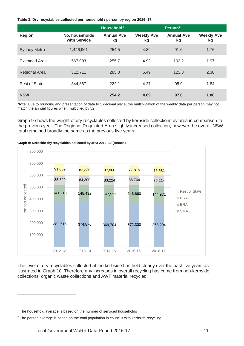### **Table 3: Dry recyclables collected per household / person by region 2016–17**

|                      |                                | Household <sup>1</sup>  |                         | Person <sup>2</sup>     |                         |
|----------------------|--------------------------------|-------------------------|-------------------------|-------------------------|-------------------------|
| <b>Region</b>        | No. households<br>with Service | <b>Annual Ave</b><br>kg | <b>Weekly Ave</b><br>kg | <b>Annual Ave</b><br>kg | <b>Weekly Ave</b><br>kg |
| <b>Sydney Metro</b>  | 1,446,961                      | 254.5                   | 4.89                    | 91.6                    | 1.76                    |
| <b>Extended Area</b> | 567,003                        | 255.7                   | 4.92                    | 102.2                   | 1.97                    |
| Regional Area        | 312,711                        | 285.3                   | 5.49                    | 123.8                   | 2.38                    |
| <b>Rest of State</b> | 344,867                        | 222.1                   | 4.27                    | 95.9                    | 1.84                    |
| <b>NSW</b>           |                                | 254.2                   | 4.89                    | 97.6                    | 1.88                    |

**Note:** Due to rounding and presentation of data to 1 decimal place, the multiplication of the weekly data per person may not match the annual figures when multiplied by 52

Graph 9 shows the weight of dry recyclables collected by kerbside collections by area in comparison to the previous year. The Regional Regulated Area slightly increased collection, however the overall NSW total remained broadly the same as the previous five years.

### 800,000 700,000 91,009 82,330 87,066 77,815 76,581 600,000 83,899 84,300 83,224 88,764 89,214 onnes collected tonnes collected 500,000 ■ Rest of State 141,218 145,432 147,521 146,660 144,971 RRA 400,000 **ERA**  300,000 SMA 200,000 382,616 374,876 369,704 372,300 368,294 100,000 - 2012-13 2013-14 2014-15 2015-16 2016-17

#### **Graph 9: Kerbside dry recyclables collected by area 2012–17 (tonnes)**

The level of dry recyclables collected at the kerbside has held steady over the past five years as illustrated in Graph 10. Therefore any increases in overall recycling has come from non-kerbside collections, organic waste collections and AWT material recycled.

 $\overline{a}$ 

<span id="page-12-0"></span><sup>&</sup>lt;sup>1</sup> The household average is based on the number of serviced households

<span id="page-12-1"></span><sup>&</sup>lt;sup>2</sup> The person average is based on the total population in councils with kerbside recycling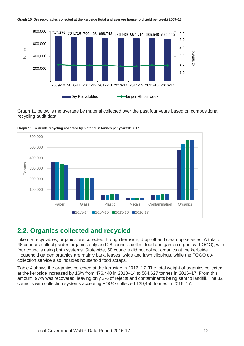

Graph 11 below is the average by material collected over the past four years based on compositional recycling audit data.



**Graph 11: Kerbside recycling collected by material in tonnes per year 2013–17**

## <span id="page-13-0"></span>**2.2. Organics collected and recycled**

Like dry recyclables, organics are collected through kerbside, drop-off and clean-up services. A total of 46 councils collect garden organics only and 28 councils collect food and garden organics (FOGO), with four councils using both systems. Statewide, 50 councils did not collect organics at the kerbside. Household garden organics are mainly bark, leaves, twigs and lawn clippings, while the FOGO cocollection service also includes household food scraps.

Table 4 shows the organics collected at the kerbside in 2016–17. The total weight of organics collected at the kerbside increased by 16% from 476,440 in 2013–14 to 564,627 tonnes in 2016–17. From this amount, 97% was recovered, leaving only 3% of rejects and contaminants being sent to landfill. The 32 councils with collection systems accepting FOGO collected 139,450 tonnes in 2016–17.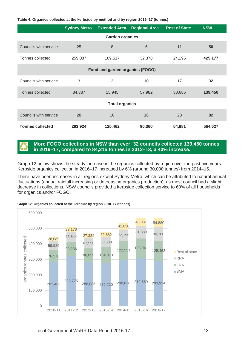| Table 4: Organics collected at the kerbside by method and by region 2016–17 (tonnes) |  |  |
|--------------------------------------------------------------------------------------|--|--|
|--------------------------------------------------------------------------------------|--|--|

|                                 | <b>Sydney Metro</b> | <b>Extended Area</b>   | <b>Regional Area</b> | <b>Rest of State</b> | <b>NSW</b> |  |
|---------------------------------|---------------------|------------------------|----------------------|----------------------|------------|--|
|                                 |                     | <b>Garden organics</b> |                      |                      |            |  |
| Councils with service           | 25                  | 8                      | $6\phantom{1}$       | 11                   | 50         |  |
| Tonnes collected                | 259,087             | 109,517                | 32,378               | 24,195               | 425,177    |  |
| Food and garden organics (FOGO) |                     |                        |                      |                      |            |  |
| Councils with service           | 3                   | 2                      | 10                   | 17                   | 32         |  |
| Tonnes collected                | 34,837              | 15,945                 | 57,982               | 30,686               | 139,450    |  |
| <b>Total organics</b>           |                     |                        |                      |                      |            |  |
| Councils with service           | 28                  | 10                     | 16                   | 28                   | 82         |  |
| <b>Tonnes collected</b>         | 293,924             | 125,462                | 90,360               | 54,881               | 564,627    |  |

### **More FOGO collections in NSW than ever: 32 councils collected 139,450 tonnes in 2016–17, compared to 84,215 tonnes in 2012–13, a 40% increase.**

Graph 12 below shows the steady increase in the organics collected by region over the past five years. Kerbside organics collection in 2016–17 increased by 6% (around 30,000 tonnes) from 2014–15.

There have been increases in all regions except Sydney Metro, which can be attributed to natural annual fluctuations (annual rainfall increasing or decreasing organics production), as most council had a slight decrease in collections. NSW councils provided a kerbside collection service to 60% of all households for organics and/or FOGO.



**Graph 12: Organics collected at the kerbside by region 2010–17 (tonnes)**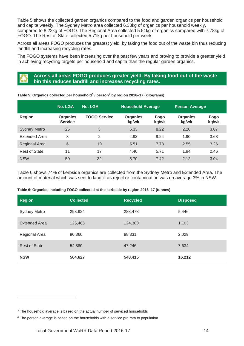Table 5 shows the collected garden organics compared to the food and garden organics per household and capita weekly. The Sydney Metro area collected 6.33kg of organics per household weekly, compared to 8.22kg of FOGO. The Regional Area collected 5.51kg of organics compared with 7.78kg of FOGO. The Rest of State collected 5.71kg per household per week.

Across all areas FOGO produces the greatest yield, by taking the food out of the waste bin thus reducing landfill and increasing recycling rates.

The FOGO systems have been increasing over the past few years and proving to provide a greater yield in achieving recycling targets per household and capita than the regular garden organics.

## **Across all areas FOGO produces greater yield. By taking food out of the waste bin this reduces landfill and increases recycling rates.**

#### **No. LGA No. LGA Household Average Person Average Region Organics Service FOGO Service Organics kg/wk Fogo kg/wk Organics kg/wk Fogo kg/wk** Sydney Metro 25 3 6.33 8.22 2.20 3.07 Extended Area 8 2 4.93 9.24 1.90 3.68 Regional Area 6 10 5.51 7.78 2.55 3.26 Rest of State 11 17 17 14.40 5.71 1.94 2.46 NSW 50 32 5.70 7.42 2.12 3.04

**Table 5: Organics collected per household[3](#page-15-0) / person[4](#page-15-1) by region 2016–17 (kilograms)**

Table 6 shows 74% of kerbside organics are collected from the Sydney Metro and Extended Area. The amount of material which was sent to landfill as reject or contamination was on average 3% in NSW.

### **Table 6: Organics including FOGO collected at the kerbside by region 2016–17 (tonnes)**

| <b>Region</b>        | <b>Collected</b> | <b>Recycled</b> | <b>Disposed</b> |
|----------------------|------------------|-----------------|-----------------|
| <b>Sydney Metro</b>  | 293,924          | 288,478         | 5,446           |
| <b>Extended Area</b> | 125,463          | 124,360         | 1,103           |
| Regional Area        | 90,360           | 88,331          | 2,029           |
| <b>Rest of State</b> | 54,880           | 47,246          | 7,634           |
| <b>NSW</b>           | 564,627          | 548,415         | 16,212          |

 $\overline{a}$ 

<span id="page-15-0"></span> $3$  The household average is based on the actual number of serviced households

<span id="page-15-1"></span><sup>4</sup> The person average is based on the households with a service pro rata to population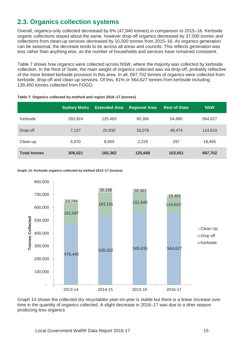# <span id="page-16-0"></span>**2.3. Organics collection systems**

Overall, organics-only collected decreased by 6% (47,940 tonnes) in comparison to 2015–16. Kerbside organic collections stayed about the same, however drop-off organics decreased by 37,000 tonnes and collections from clean-up services decreased by 10,000 tonnes from 2015–16. As organics generation can be seasonal, the decrease tends to be across all areas and councils. This reflects generation was less rather than anything else, as the number of households and services have remained consistent.

Table 7 shows how organics were collected across NSW, where the majority was collected by kerbside collection. In the Rest of State, the main weight of organics collected was via drop-off, probably reflective of the more limited kerbside provision in this area. In all, 697,702 tonnes of organics were collected from kerbside, drop-off and clean-up services. Of this, 81% or 564,627 tonnes from kerbside including 139,450 tonnes collected from FOGO.

|                     | <b>Sydney Metro</b> | <b>Extended Area</b> | <b>Regional Area</b> | <b>Rest of State</b> | <b>NSW</b> |
|---------------------|---------------------|----------------------|----------------------|----------------------|------------|
| Kerbside            | 293,924             | 125.463              | 90,360               | 54,880               | 564,627    |
| Drop-off            | 7.127               | 25,930               | 33,079               | 48,474               | 114,610    |
| Clean-up            | 6.970               | 8.969                | 2.229                | 297                  | 18,465     |
| <b>Total tonnes</b> | 308,021             | 160,362              | 125,668              | 103,651              | 697,702    |

### **Table 7: Organics collected by method and region 2016–17 (tonnes)**

#### **Graph 13: Kerbside organics collected by method 2013–17 (tonnes)**



Graph 14 shows the collected dry recyclables year-on-year is stable but there is a linear increase over time in the quantity of organics collected. A slight decrease in 2016–17 was due to a drier season producing less organics.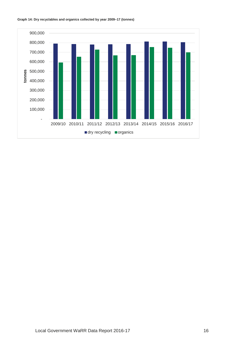

#### **Graph 14: Dry recyclables and organics collected by year 2009–17 (tonnes)**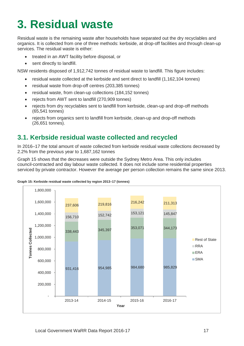# <span id="page-18-0"></span>**3. Residual waste**

Residual waste is the remaining waste after households have separated out the dry recyclables and organics. It is collected from one of three methods: kerbside, at drop-off facilities and through clean-up services. The residual waste is either:

- treated in an AWT facility before disposal, or
- sent directly to landfill.

NSW residents disposed of 1,912,742 tonnes of residual waste to landfill. This figure includes:

- residual waste collected at the kerbside and sent direct to landfill (1,162,104 tonnes)
- residual waste from drop-off centres (203,385 tonnes)
- residual waste, from clean-up collections (184,152 tonnes)
- rejects from AWT sent to landfill (270,909 tonnes)
- rejects from dry recyclables sent to landfill from kerbside, clean-up and drop-off methods (65,541 tonnes)
- rejects from organics sent to landfill from kerbside, clean-up and drop-off methods (26,651 tonnes).

# <span id="page-18-1"></span>**3.1. Kerbside residual waste collected and recycled**

In 2016–17 the total amount of waste collected from kerbside residual waste collections decreased by 2.2% from the previous year to 1,687,162 tonnes

Graph 15 shows that the decreases were outside the Sydney Metro Area. This only includes council-contracted and day labour waste collected. It does not include some residential properties serviced by private contractor. However the average per person collection remains the same since 2013.



### **Graph 15: Kerbside residual waste collected by region 2013–17 (tonnes)**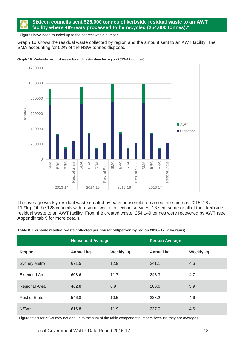## **Sixteen councils sent 525,000 tonnes of kerbside residual waste to an AWT facility where 49% was processed to be recycled (254,000 tonnes).\***

\* Figures have been rounded up to the nearest whole number

Graph 16 shows the residual waste collected by region and the amount sent to an AWT facility. The SMA accounting for 52% of the NSW tonnes disposed.



**Graph 16: Kerbside residual waste by end destination by region 2013–17 (tonnes)**

The average weekly residual waste created by each household remained the same as 2015–16 at 11.9kg. Of the 128 councils with residual waste collection services, 16 sent some or all of their kerbside residual waste to an AWT facility. From the created waste, 254,149 tonnes were recovered by AWT (see Appendix tab 9 for more detail).

**Table 8: Kerbside residual waste collected per household/person by region 2016–17 (kilograms)**

|                      | <b>Household Average</b> |                  | <b>Person Average</b> |                  |
|----------------------|--------------------------|------------------|-----------------------|------------------|
| <b>Region</b>        | <b>Annual kg</b>         | <b>Weekly kg</b> | <b>Annual kg</b>      | <b>Weekly kg</b> |
| <b>Sydney Metro</b>  | 671.5                    | 12.9             | 241.1                 | 4.6              |
| <b>Extended Area</b> | 608.6                    | 11.7             | 243.3                 | 4.7              |
| <b>Regional Area</b> | 462.8                    | 8.9              | 200.6                 | 3.9              |
| <b>Rest of State</b> | 546.8                    | 10.5             | 238.2                 | 4.6              |
| NSW*                 | 616.8                    | 11.9             | 237.0                 | 4.6              |

\*Figure totals for NSW may not add up to the sum of the table component numbers because they are averages.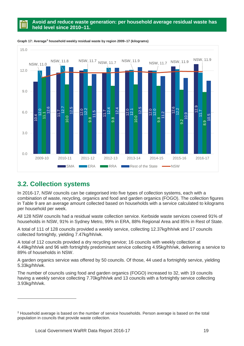## **Avoid and reduce waste generation: per household average residual waste has held level since 2010–11.**





# <span id="page-20-0"></span>**3.2. Collection systems**

 $\overline{a}$ 

In 2016-17, NSW councils can be categorised into five types of collection systems, each with a combination of waste, recycling, organics and food and garden organics (FOGO). The collection figures in Table 9 are an average amount collected based on households with a service calculated to kilograms per household per week.

All 128 NSW councils had a residual waste collection service. Kerbside waste services covered 91% of households in NSW, 91% in Sydney Metro, 99% in ERA, 88% Regional Area and 85% in Rest of State.

A total of 111 of 128 councils provided a weekly service, collecting 12.37kg/hh/wk and 17 councils collected fortnightly, yielding 7.47kg/hh/wk.

A total of 112 councils provided a dry recycling service; 16 councils with weekly collection at 4.49kg/hh/wk and 96 with fortnightly predominant service collecting 4.95kg/hh/wk, delivering a service to 89% of households in NSW.

A garden organics service was offered by 50 councils. Of those, 44 used a fortnightly service, yielding 5.33kg/hh/wk.

The number of councils using food and garden organics (FOGO) increased to 32, with 19 councils having a weekly service collecting 7.70kg/hh/wk and 13 councils with a fortnightly service collecting 3.93kg/hh/wk.

<span id="page-20-1"></span>*<sup>5</sup>* Household average is based on the number of service households. Person average is based on the total population in councils that provide waste collection.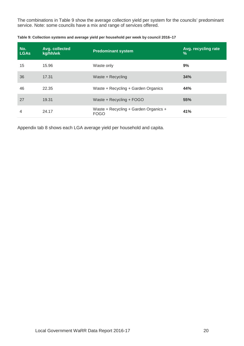The combinations in Table 9 show the average collection yield per system for the councils' predominant service. Note: some councils have a mix and range of services offered.

| No.<br><b>LGAs</b> | Avg. collected<br>kg/hh/wk | <b>Predominant system</b>                            | Avg. recycling rate<br>$\%$ |
|--------------------|----------------------------|------------------------------------------------------|-----------------------------|
| 15                 | 15.96                      | Waste only                                           | 9%                          |
| 36                 | 17.31                      | Waste + Recycling                                    | 34%                         |
| 46                 | 22.35                      | Waste + Recycling + Garden Organics                  | 44%                         |
| 27                 | 19.31                      | Waste + Recycling + FOGO                             | 55%                         |
| 4                  | 24.17                      | Waste + Recycling + Garden Organics +<br><b>FOGO</b> | 41%                         |

**Table 9: Collection systems and average yield per household per week by council 2016–17**

Appendix tab 8 shows each LGA average yield per household and capita.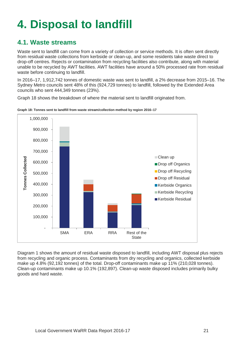# <span id="page-22-0"></span>**4. Disposal to landfill**

# <span id="page-22-1"></span>**4.1. Waste streams**

Waste sent to landfill can come from a variety of collection or service methods. It is often sent directly from residual waste collections from kerbside or clean-up, and some residents take waste direct to drop-off centres. Rejects or contamination from recycling facilities also contribute, along with material unable to be recycled by AWT facilities. AWT facilities have around a 50% processed rate from residual waste before continuing to landfill.

In 2016–17, 1,912,742 tonnes of domestic waste was sent to landfill, a 2% decrease from 2015–16. The Sydney Metro councils sent 48% of this (924,729 tonnes) to landfill, followed by the Extended Area councils who sent 444,349 tonnes (23%).

Graph 18 shows the breakdown of where the material sent to landfill originated from.



**Graph 18: Tonnes sent to landfill from waste stream/collection method by region 2016–17**

Diagram 1 shows the amount of residual waste disposed to landfill, including AWT disposal plus rejects from recycling and organic process. Contaminants from dry recycling and organics, collected kerbside make up 4.8% (92,192 tonnes) of the total. Drop-off contaminants make up 11% (210,028 tonnes). Clean-up contaminants make up 10.1% (192,897). Clean-up waste disposed includes primarily bulky goods and hard waste.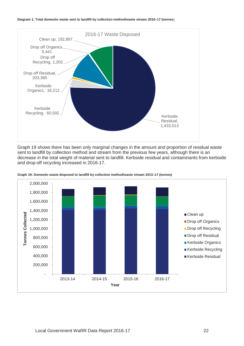



Graph 19 shows there has been only marginal changes in the amount and proportion of residual waste sent to landfill by collection method and stream from the previous few years, although there is an decrease in the total weight of material sent to landfill. Kerbside residual and contaminants from kerbside and drop-off recycling increased in 2016-17.



**Graph 19: Domestic waste disposed to landfill by collection method/waste stream 2013–17 (tonnes)**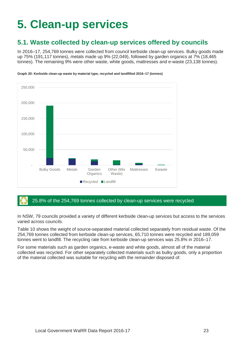# <span id="page-24-0"></span>**5. Clean-up services**

# <span id="page-24-1"></span>**5.1. Waste collected by clean-up services offered by councils**

In 2016–17, 254,769 tonnes were collected from council kerbside clean-up services. Bulky goods made up 75% (191,117 tonnes), metals made up 9% (22,049), followed by garden organics at 7% (18,465 tonnes). The remaining 9% were other waste, white goods, mattresses and e-waste (23,138 tonnes).



**Graph 20: Kerbside clean-up waste by material type, recycled and landfilled 2016–17 (tonnes)**

### 25.8% of the 254,769 tonnes collected by clean-up services were recycled

In NSW, 79 councils provided a variety of different kerbside clean-up services but access to the services varied across councils.

Table 10 shows the weight of source-separated material collected separately from residual waste. Of the 254,769 tonnes collected from kerbside clean-up services, 65,710 tonnes were recycled and 189,059 tonnes went to landfill. The recycling rate from kerbside clean-up services was 25.8% in 2016–17.

For some materials such as garden organics, e-waste and white goods, almost all of the material collected was recycled. For other separately collected materials such as bulky goods, only a proportion of the material collected was suitable for recycling with the remainder disposed of.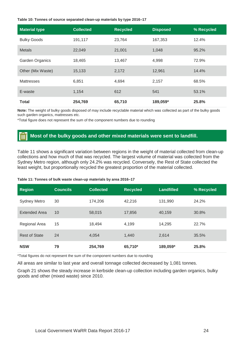#### **Table 10: Tonnes of source separated clean-up materials by type 2016–17**

| <b>Material type</b> | <b>Collected</b> | <b>Recycled</b> | <b>Disposed</b> | % Recycled |
|----------------------|------------------|-----------------|-----------------|------------|
| <b>Bulky Goods</b>   | 191,117          | 23,764          | 167,353         | 12.4%      |
| <b>Metals</b>        | 22,049           | 21,001          | 1,048           | 95.2%      |
| Garden Organics      | 18,465           | 13,467          | 4,998           | 72.9%      |
| Other (Mix Waste)    | 15,133           | 2,172           | 12,961          | 14.4%      |
| <b>Mattresses</b>    | 6,851            | 4,694           | 2,157           | 68.5%      |
| E-waste              | 1,154            | 612             | 541             | 53.1%      |
| <b>Total</b>         | 254,769          | 65,710          | 189,059*        | 25.8%      |

**Note:** The weight of bulky goods disposed of may include recyclable material which was collected as part of the bulky goods such garden organics, mattresses etc.

\*Total figure does not represent the sum of the component numbers due to rounding

#### **Most of the bulky goods and other mixed materials were sent to landfill.** 1 III

Table 11 shows a significant variation between regions in the weight of material collected from clean-up collections and how much of that was recycled. The largest volume of material was collected from the Sydney Metro region, although only 24.2% was recycled. Conversely, the Rest of State collected the least weight, but proportionally recycled the greatest proportion of the material collected.

### **Table 11: Tonnes of bulk waste clean-up materials by area 2016–17**

| <b>Region</b>        | <b>Councils</b> | <b>Collected</b> | <b>Recycled</b> | <b>Landfilled</b> | % Recycled |
|----------------------|-----------------|------------------|-----------------|-------------------|------------|
| <b>Sydney Metro</b>  | 30              | 174,206          | 42,216          | 131,990           | 24.2%      |
| <b>Extended Area</b> | 10              | 58,015           | 17,856          | 40.159            | 30.8%      |
| Regional Area        | 15              | 18,494           | 4,199           | 14,295            | 22.7%      |
| <b>Rest of State</b> | 24              | 4.054            | 1,440           | 2,614             | 35.5%      |
| <b>NSW</b>           | 79              | 254,769          | 65,710*         | 189,059*          | 25.8%      |

\*Total figures do not represent the sum of the component numbers due to rounding

All areas are similar to last year and overall tonnage collected decreased by 1,081 tonnes.

Graph 21 shows the steady increase in kerbside clean-up collection including garden organics, bulky goods and other (mixed waste) since 2010.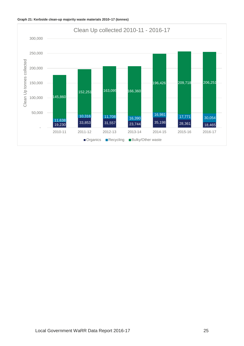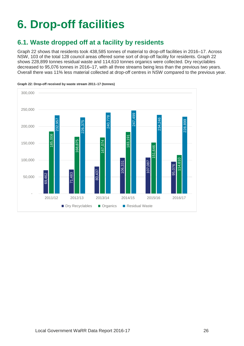# <span id="page-27-0"></span>**6. Drop-off facilities**

# <span id="page-27-1"></span>**6.1. Waste dropped off at a facility by residents**

Graph 22 shows that residents took 438,585 tonnes of material to drop-off facilities in 2016–17. Across NSW, 103 of the total 128 council areas offered some sort of drop-off facility for residents. Graph 22 shows 228,899 tonnes residual waste and 114,610 tonnes organics were collected. Dry recyclables decreased to 95,076 tonnes in 2016–17, with all three streams being less than the previous two years. Overall there was 11% less material collected at drop-off centres in NSW compared to the previous year.



#### **Graph 22: Drop-off received by waste stream 2011–17 (tonnes)**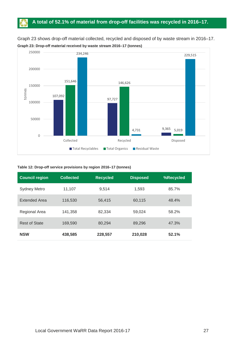## **A total of 52.1% of material from drop-off facilities was recycled in 2016–17.**

Graph 23 shows drop-off material collected, recycled and disposed of by waste stream in 2016–17. **Graph 23: Drop-off material received by waste stream 2016–17 (tonnes)**



### **Table 12: Drop-off service provisions by region 2016–17 (tonnes)**

| <b>Council region</b> | <b>Collected</b> | <b>Recycled</b> | <b>Disposed</b> | %Recycled |
|-----------------------|------------------|-----------------|-----------------|-----------|
| <b>Sydney Metro</b>   | 11,107           | 9.514           | 1.593           | 85.7%     |
| <b>Extended Area</b>  | 116,530          | 56,415          | 60,115          | 48.4%     |
| Regional Area         | 141,358          | 82,334          | 59,024          | 58.2%     |
| <b>Rest of State</b>  | 169,590          | 80.294          | 89,296          | 47.3%     |
| <b>NSW</b>            | 438,585          | 228,557         | 210,028         | 52.1%     |